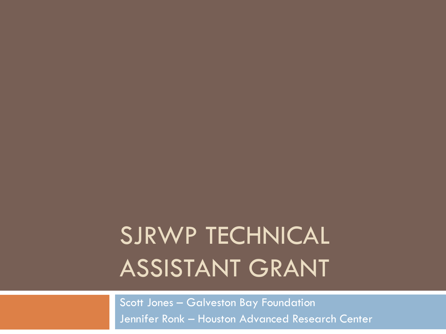# SJRWP TECHNICAL ASSISTANT GRANT

Scott Jones – Galveston Bay Foundation Jennifer Ronk – Houston Advanced Research Center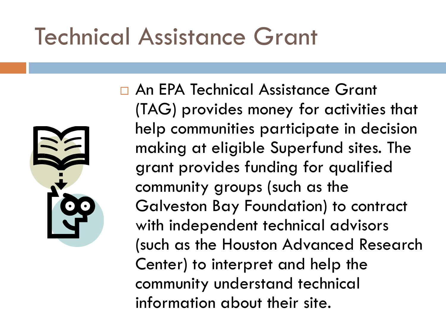### Technical Assistance Grant



 An EPA Technical Assistance Grant (TAG) provides money for activities that help communities participate in decision making at eligible Superfund sites. The grant provides funding for qualified community groups (such as the Galveston Bay Foundation) to contract with independent technical advisors (such as the Houston Advanced Research Center) to interpret and help the community understand technical information about their site.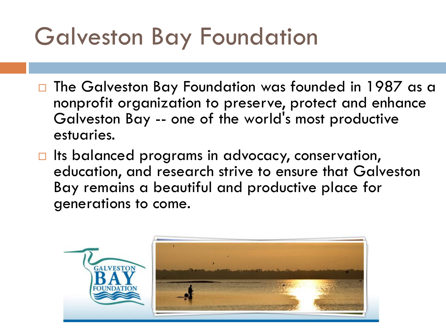## Galveston Bay Foundation

- □ The Galveston Bay Foundation was founded in 1987 as a nonprofit organization to preserve, protect and enhance Galveston Bay -- one of the world's most productive estuaries.
- $\Box$  Its balanced programs in advocacy, conservation, education, and research strive to ensure that Galveston Bay remains a beautiful and productive place for generations to come.

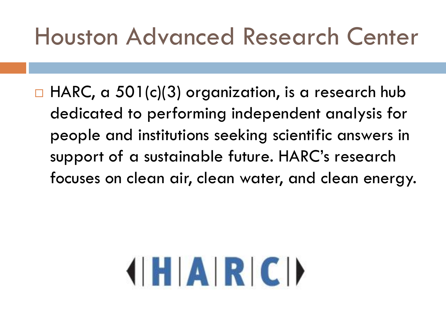#### Houston Advanced Research Center

 $\Box$  HARC, a 501(c)(3) organization, is a research hub dedicated to performing independent analysis for people and institutions seeking scientific answers in support of a sustainable future. HARC's research focuses on clean air, clean water, and clean energy.

# **HARCI**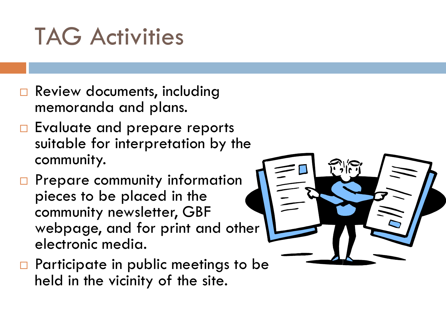### TAG Activities

- **Review documents, including** memoranda and plans.
- □ Evaluate and prepare reports suitable for interpretation by the community.
- $\Box$  Prepare community information pieces to be placed in the community newsletter, GBF webpage, and for print and other electronic media.
- $\Box$  Participate in public meetings to be held in the vicinity of the site.

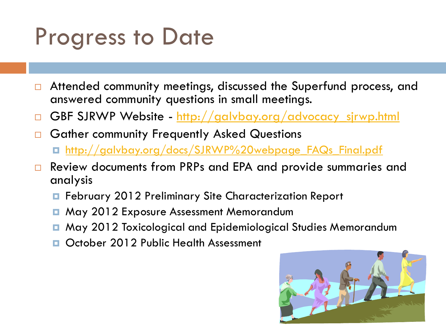### Progress to Date

- □ Attended community meetings, discussed the Superfund process, and answered community questions in small meetings.
- GBF SJRWP Website [http://galvbay.org/advocacy\\_sjrwp.html](http://galvbay.org/advocacy_sjrwp.html)
- Gather community Frequently Asked Questions [http://galvbay.org/docs/SJRWP%20webpage\\_FAQs\\_Final.pdf](http://galvbay.org/docs/SJRWP webpage_FAQs_Final.pdf)
- □ Review documents from PRPs and EPA and provide summaries and analysis
	- February 2012 Preliminary Site Characterization Report
	- May 2012 Exposure Assessment Memorandum
	- May 2012 Toxicological and Epidemiological Studies Memorandum
	- October 2012 Public Health Assessment

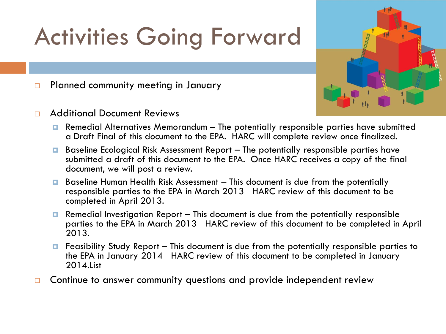# Activities Going Forward

**Planned community meeting in January** 

□ Additional Document Reviews

- 
- **Remedial Alternatives Memorandum The potentially responsible parties have submitted** a Draft Final of this document to the EPA. HARC will complete review once finalized.
- $\blacksquare$  Baseline Ecological Risk Assessment Report The potentially responsible parties have submitted a draft of this document to the EPA. Once HARC receives a copy of the final document, we will post a review.
- **Baseline Human Health Risk Assessment This document is due from the potentially** responsible parties to the EPA in March 2013 HARC review of this document to be completed in April 2013.
- **E** Remedial Investigation Report This document is due from the potentially responsible parties to the EPA in March 2013 HARC review of this document to be completed in April 2013.
- $\blacksquare$  Feasibility Study Report This document is due from the potentially responsible parties to the EPA in January 2014 HARC review of this document to be completed in January 2014.List
- $\Box$  Continue to answer community questions and provide independent review